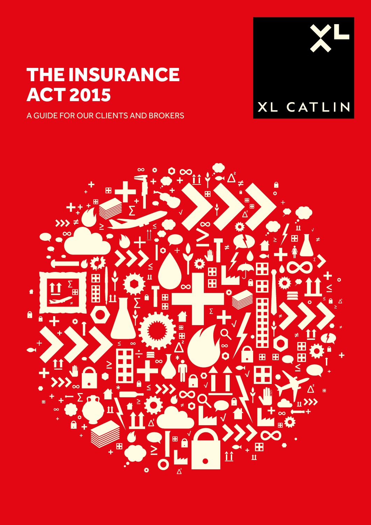# THE INSURANCE ACT 2015

A GUIDE FOR OUR CLIENTS AND BROKERS



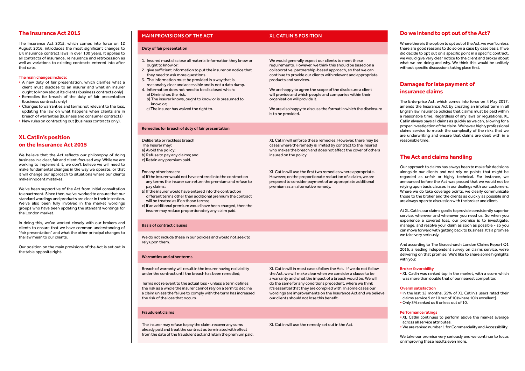## **The Insurance Act 2015**

The Insurance Act 2015, which comes into force on 12 August 2016, introduces the most significant changes to UK insurance contract laws in over 100 years. It applies to all contracts of insurance, reinsurance and retrocession as well as variations to existing contracts entered into after that date.

#### The main changes include:

- A new duty of fair presentation, which clarifies what a client must disclose to an insurer and what an insurer ought to know about its clients (business contracts only)
- Remedies for breach of the duty of fair presentation (business contracts only)
- Changes to warranties and terms not relevant to the loss, updating the law on what happens when clients are in breach of warranties (business and consumer contracts)
- New rules on contracting out (business contracts only).

# **XL Catlin's position on the Insurance Act 2015**

Where there is the option to opt out of the Act, we won't unless there are good reasons to do so on a case by case basis. If we did decide to opt out on a specific point in a specific contract, we would give very clear notice to the client and broker about what we are doing and why. We think this would be unlikely without specific discussions taking place first.

We believe that the Act reflects our philosophy of doing business in a clear, fair and client-focused way. While we are working to implement it, we don't believe we will need to make fundamental changes in the way we operate, or that it will change our approach to situations where our clients make innocent mistakes.

We've been supportive of the Act from initial consultation to enactment. Since then, we've worked to ensure that our standard wordings and products are clear in their intention. We've also been fully involved in the market wordings groups who have been updating the standard wordings for the London market.

In doing this, we've worked closely with our brokers and clients to ensure that we have common understanding of "fair presentation" and what the other principal changes to the law mean to our clients.

Our position on the main provisions of the Act is set out in the table opposite right.

### MAIN PROVISIONS OF THE ACT **XL CATLIN'S POSITION**

# **Do we intend to opt out of the Act?**

# **Damages for late payment of insurance claims**

The Enterprise Act, which comes into force on 4 May 2017, amends the Insurance Act by creating an implied term in all English law insurance policies that claims must be paid within a reasonable time. Regardless of any laws or regulations, XL Catlin always pays all claims as quickly as we can, allowing for a proper investigation of the claim. We have a highly professional claims service to match the complexity of the risks that we are underwriting and ensure that claims are dealt with in a reasonable time.

# **The Act and claims handling**

Our approach to claims has always been to make fair decisions alongside our clients and not rely on points that might be regarded as unfair or highly technical. For instance, we announced before the Act was passed that we would not be relying upon basis clauses in our dealings with our customers. Where we do take coverage points, we clearly communicate those to the broker and the clients as quickly as possible and are always open to discussion with the broker and client.

At XL Catlin, our claims goal is to provide consistently superior service, wherever and whenever you need us. So when you experience a covered loss, our promise is to investigate, manage, and resolve your claim as soon as possible - so you can move forward with getting back to business. It's a promise we take very seriously.

And according to The Gracechurch London Claims Report Q1 2016, a leading independent survey on claims service, we're delivering on that promise. We'd like to share some highlights with you:

#### Broker favorability

• XL Catlin was ranked top in the market, with a score which was more than double that of our nearest competitor.

#### Overall satisfaction

- In the last 12 months, 35% of XL Catlin's users rated their claims service 9 or 10 out of 10 (where 10 is excellent).
- Only 3% ranked us 6 or less out of 10.

#### Performance ratings

- XL Catlin continues to perform above the market average across all service attributes.
- We are ranked number 1 for Commerciality and Accessibility.

We take our promise very seriously and we continue to focus on improving these results even more.

#### Duty of fair presentation

- 1. Insured must disclose all material information they know or ought to know or;
- 2. give sufficient information to put the insurer on notice that they need to ask more questions.
- 3. The information must be provided in a way that is reasonably clear and accessible and is not a data dump.
- 4. Information does not need to be disclosed which: a) Diminishes the risk.
- b) The insurer knows, ought to know or is presumed to know, or;
- c) The insurer has waived the right to.

We would generally expect our clients to meet these requirements. However, we think this should be based on a collaborative, partnership-based approach, so that we can continue to provide our clients with relevant and appropriate products and services.

We are happy to agree the scope of the disclosure a client will provide and which people and companies within their organisation will provide it.

We are also happy to discuss the format in which the disclosure is to be provided.

#### Remedies for breach of duty of fair presentation

#### Deliberate or reckless breach The Insurer may: a) Avoid the policy; b) Refuse to pay any claims; and c) Retain any premium paid.

XL Catlin will enforce these remedies. However, there may be cases where the remedy is limited by contract to the insured who makes the breach and does not affect the cover of others insured on the policy.

For any other breach:

- a) If the insurer would not have entered into the contract on any terms the insurer can return the premium and refuse to pay claims;
- b) If the insurer would have entered into the contract on different terms other than additional premium the contract will be treated as if on those terms;
- c) If an additional premium would have been charged, then the insurer may reduce proportionately any claim paid.

XL Catlin will use the first two remedies where appropriate. However, on the proportionate reduction of a claim, we are prepared to consider payment of an appropriate additional premium as an alternative remedy.

#### Basis of contract clauses

We do not include these in our policies and would not seek to rely upon them.

#### Warranties and other terms

Breach of warranty will result in the insurer having no liability under the contract until the breach has been remedied;

Terms not relevant to the actual loss - unless a term defines the risk as a whole the insurer cannot rely on a term to decline a claim unless the failure to comply with the term has increased the risk of the loss that occurs.

XL Catlin will in most cases follow the Act. If we do not follow the Act, we will make clear when we consider a clause to be a warranty and what the impact of a breach would be. We will do the same for any conditions precedent, where we think it's essential that they are complied with. In some cases our wordings are improvements on the Insurance Act and we believe our clients should not lose this benefit.

#### Fraudulent claims

The insurer may refuse to pay the claim, recover any sums already paid and treat the contract as terminated with effect from the date of the fraudulent act and retain the premium paid. XL Catlin will use the remedy set out in the Act.